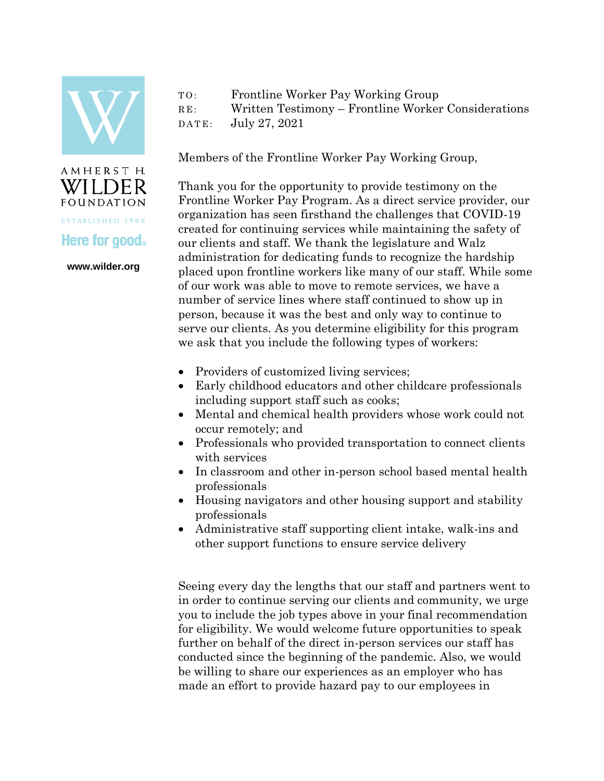

AMHERST H. WILDER **FOUNDATION** ESTABLISHED 1906

**www.wilder.org** 

**Here for good** 

## TO: Frontline Worker Pay Working Group RE: Written Testimony – Frontline Worker Considerations DATE: July 27, 2021

Members of the Frontline Worker Pay Working Group,

Thank you for the opportunity to provide testimony on the Frontline Worker Pay Program. As a direct service provider, our organization has seen firsthand the challenges that COVID-19 created for continuing services while maintaining the safety of our clients and staff. We thank the legislature and Walz administration for dedicating funds to recognize the hardship placed upon frontline workers like many of our staff. While some of our work was able to move to remote services, we have a number of service lines where staff continued to show up in person, because it was the best and only way to continue to serve our clients. As you determine eligibility for this program we ask that you include the following types of workers:

- Providers of customized living services;
- Early childhood educators and other childcare professionals including support staff such as cooks;
- Mental and chemical health providers whose work could not occur remotely; and
- Professionals who provided transportation to connect clients with services
- In classroom and other in-person school based mental health professionals
- Housing navigators and other housing support and stability professionals
- Administrative staff supporting client intake, walk-ins and other support functions to ensure service delivery

Seeing every day the lengths that our staff and partners went to in order to continue serving our clients and community, we urge you to include the job types above in your final recommendation for eligibility. We would welcome future opportunities to speak further on behalf of the direct in-person services our staff has conducted since the beginning of the pandemic. Also, we would be willing to share our experiences as an employer who has made an effort to provide hazard pay to our employees in